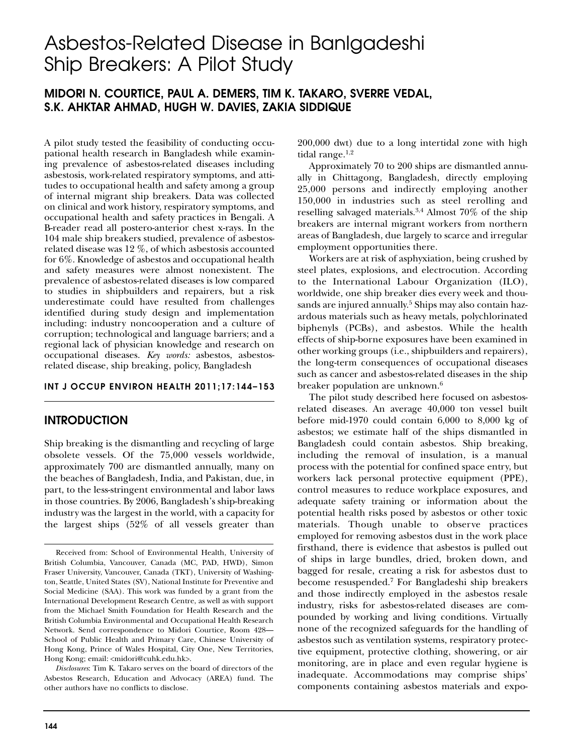# Asbestos-Related Disease in Banlgadeshi Ship Breakers: A Pilot Study

# **MIDORI N. COURTICE, PAUL A. DEMERS, TIM K. TAKARO, SVERRE VEDAL, S.K. AHKTAR AHMAD, HUGH W. DAVIES, ZAKIA SIDDIQUE**

A pilot study tested the feasibility of conducting occupational health research in Bangladesh while examining prevalence of asbestos-related diseases including asbestosis, work-related respiratory symptoms, and attitudes to occupational health and safety among a group of internal migrant ship breakers. Data was collected on clinical and work history, respiratory symptoms, and occupational health and safety practices in Bengali. A B-reader read all postero-anterior chest x-rays. In the 104 male ship breakers studied, prevalence of asbestosrelated disease was 12 %, of which asbestosis accounted for 6%. Knowledge of asbestos and occupational health and safety measures were almost nonexistent. The prevalence of asbestos-related diseases is low compared to studies in shipbuilders and repairers, but a risk underestimate could have resulted from challenges identified during study design and implementation including: industry noncooperation and a culture of corruption; technological and language barriers; and a regional lack of physician knowledge and research on occupational diseases. *Key words:* asbestos, asbestosrelated disease, ship breaking, policy, Bangladesh

#### **INT J OCCUP ENVIRON HEALTH 2011;17:144–153**

## **INTRODUCTION**

Ship breaking is the dismantling and recycling of large obsolete vessels. Of the 75,000 vessels worldwide, approximately 700 are dismantled annually, many on the beaches of Bangladesh, India, and Pakistan, due, in part, to the less-stringent environmental and labor laws in those countries. By 2006, Bangladesh's ship-breaking industry was the largest in the world, with a capacity for the largest ships (52% of all vessels greater than

*Disclosures*: Tim K. Takaro serves on the board of directors of the Asbestos Research, Education and Advocacy (AREA) fund. The other authors have no conflicts to disclose.

200,000 dwt) due to a long intertidal zone with high tidal range.<sup>1,2</sup>

Approximately 70 to 200 ships are dismantled annually in Chittagong, Bangladesh, directly employing 25,000 persons and indirectly employing another 150,000 in industries such as steel rerolling and reselling salvaged materials.3,4 Almost 70% of the ship breakers are internal migrant workers from northern areas of Bangladesh, due largely to scarce and irregular employment opportunities there.

Workers are at risk of asphyxiation, being crushed by steel plates, explosions, and electrocution. According to the International Labour Organization (ILO), worldwide, one ship breaker dies every week and thousands are injured annually.<sup>5</sup> Ships may also contain hazardous materials such as heavy metals, polychlorinated biphenyls (PCBs), and asbestos. While the health effects of ship-borne exposures have been examined in other working groups (i.e., shipbuilders and repairers), the long-term consequences of occupational diseases such as cancer and asbestos-related diseases in the ship breaker population are unknown.<sup>6</sup>

The pilot study described here focused on asbestosrelated diseases. An average 40,000 ton vessel built before mid-1970 could contain 6,000 to 8,000 kg of asbestos; we estimate half of the ships dismantled in Bangladesh could contain asbestos. Ship breaking, including the removal of insulation, is a manual process with the potential for confined space entry, but workers lack personal protective equipment (PPE), control measures to reduce workplace exposures, and adequate safety training or information about the potential health risks posed by asbestos or other toxic materials. Though unable to observe practices employed for removing asbestos dust in the work place firsthand, there is evidence that asbestos is pulled out of ships in large bundles, dried, broken down, and bagged for resale, creating a risk for asbestos dust to become resuspended.7 For Bangladeshi ship breakers and those indirectly employed in the asbestos resale industry, risks for asbestos-related diseases are compounded by working and living conditions. Virtually none of the recognized safeguards for the handling of asbestos such as ventilation systems, respiratory protective equipment, protective clothing, showering, or air monitoring, are in place and even regular hygiene is inadequate. Accommodations may comprise ships' components containing asbestos materials and expo-

Received from: School of Environmental Health, University of British Columbia, Vancouver, Canada (MC, PAD, HWD), Simon Fraser University, Vancouver, Canada (TKT), University of Washington, Seattle, United States (SV), National Institute for Preventive and Social Medicine (SAA). This work was funded by a grant from the International Development Research Centre, as well as with support from the Michael Smith Foundation for Health Research and the British Columbia Environmental and Occupational Health Research Network. Send correspondence to Midori Courtice, Room 428— School of Public Health and Primary Care, Chinese University of Hong Kong, Prince of Wales Hospital, City One, New Territories, Hong Kong; email: <midori@cuhk.edu.hk>.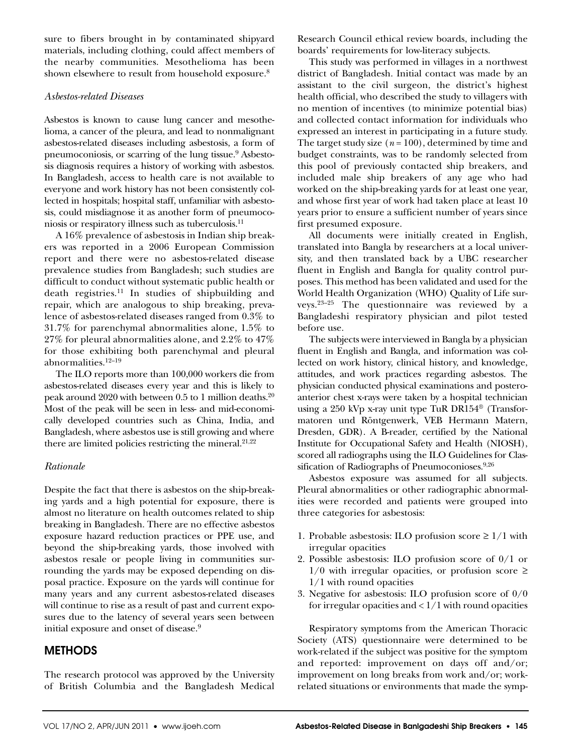sure to fibers brought in by contaminated shipyard materials, including clothing, could affect members of the nearby communities. Mesothelioma has been shown elsewhere to result from household exposure.<sup>8</sup>

#### *Asbestos-related Diseases*

Asbestos is known to cause lung cancer and mesothelioma, a cancer of the pleura, and lead to nonmalignant asbestos-related diseases including asbestosis, a form of pneumoconiosis, or scarring of the lung tissue.<sup>9</sup> Asbestosis diagnosis requires a history of working with asbestos. In Bangladesh, access to health care is not available to everyone and work history has not been consistently collected in hospitals; hospital staff, unfamiliar with asbestosis, could misdiagnose it as another form of pneumoconiosis or respiratory illness such as tuberculosis.11

A 16% prevalence of asbestosis in Indian ship breakers was reported in a 2006 European Commission report and there were no asbestos-related disease prevalence studies from Bangladesh; such studies are difficult to conduct without systematic public health or death registries. $11$  In studies of shipbuilding and repair, which are analogous to ship breaking, prevalence of asbestos-related diseases ranged from 0.3% to 31.7% for parenchymal abnormalities alone, 1.5% to 27% for pleural abnormalities alone, and 2.2% to 47% for those exhibiting both parenchymal and pleural abnormalities.12–19

The ILO reports more than 100,000 workers die from asbestos-related diseases every year and this is likely to peak around 2020 with between 0.5 to 1 million deaths.20 Most of the peak will be seen in less- and mid-economically developed countries such as China, India, and Bangladesh, where asbestos use is still growing and where there are limited policies restricting the mineral. $21,22$ 

#### *Rationale*

Despite the fact that there is asbestos on the ship-breaking yards and a high potential for exposure, there is almost no literature on health outcomes related to ship breaking in Bangladesh. There are no effective asbestos exposure hazard reduction practices or PPE use, and beyond the ship-breaking yards, those involved with asbestos resale or people living in communities surrounding the yards may be exposed depending on disposal practice. Exposure on the yards will continue for many years and any current asbestos-related diseases will continue to rise as a result of past and current exposures due to the latency of several years seen between initial exposure and onset of disease.<sup>9</sup>

# **METHODS**

The research protocol was approved by the University of British Columbia and the Bangladesh Medical

Research Council ethical review boards, including the boards' requirements for low-literacy subjects.

This study was performed in villages in a northwest district of Bangladesh. Initial contact was made by an assistant to the civil surgeon, the district's highest health official, who described the study to villagers with no mention of incentives (to minimize potential bias) and collected contact information for individuals who expressed an interest in participating in a future study. The target study size  $(n = 100)$ , determined by time and budget constraints, was to be randomly selected from this pool of previously contacted ship breakers, and included male ship breakers of any age who had worked on the ship-breaking yards for at least one year, and whose first year of work had taken place at least 10 years prior to ensure a sufficient number of years since first presumed exposure.

All documents were initially created in English, translated into Bangla by researchers at a local university, and then translated back by a UBC researcher fluent in English and Bangla for quality control purposes. This method has been validated and used for the World Health Organization (WHO) Quality of Life surveys.23–25 The questionnaire was reviewed by a Bangladeshi respiratory physician and pilot tested before use.

The subjects were interviewed in Bangla by a physician fluent in English and Bangla, and information was collected on work history, clinical history, and knowledge, attitudes, and work practices regarding asbestos. The physician conducted physical examinations and posteroanterior chest x-rays were taken by a hospital technician using a 250 kVp x-ray unit type TuR DR154® (Transformatoren und Röntgenwerk, VEB Hermann Matern, Dresden, GDR). A B-reader, certified by the National Institute for Occupational Safety and Health (NIOSH), scored all radiographs using the ILO Guidelines for Classification of Radiographs of Pneumoconioses. $9,26$ 

Asbestos exposure was assumed for all subjects. Pleural abnormalities or other radiographic abnormalities were recorded and patients were grouped into three categories for asbestosis:

- 1. Probable asbestosis: ILO profusion score  $\geq 1/1$  with irregular opacities
- 2. Possible asbestosis: ILO profusion score of 0/1 or  $1/0$  with irregular opacities, or profusion score ≥ 1/1 with round opacities
- 3. Negative for asbestosis: ILO profusion score of 0/0 for irregular opacities and  $< 1/1$  with round opacities

Respiratory symptoms from the American Thoracic Society (ATS) questionnaire were determined to be work-related if the subject was positive for the symptom and reported: improvement on days off and/or; improvement on long breaks from work and/or; workrelated situations or environments that made the symp-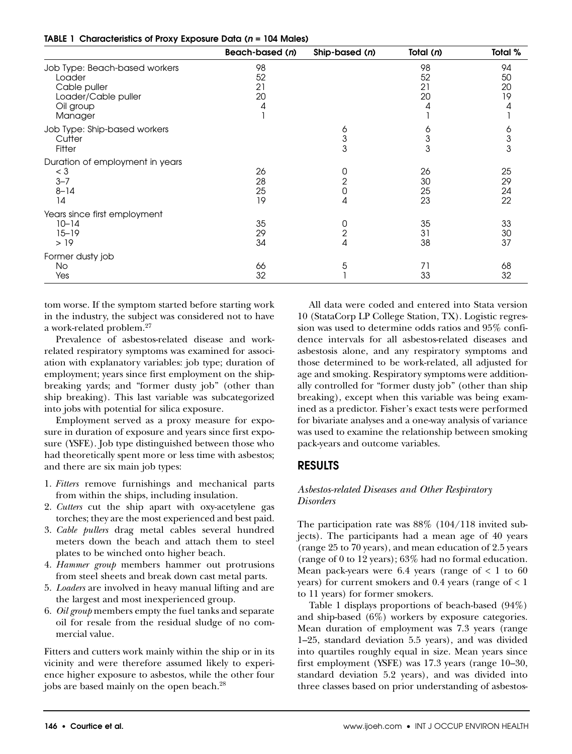|  | TABLE 1 Characteristics of Proxy Exposure Data ( $n = 104$ Males) |  |  |  |
|--|-------------------------------------------------------------------|--|--|--|
|--|-------------------------------------------------------------------|--|--|--|

|                                                                                                        | Beach-based (n)           | Ship-based (n)                | Total $(n)$               | Total %                                      |
|--------------------------------------------------------------------------------------------------------|---------------------------|-------------------------------|---------------------------|----------------------------------------------|
| Job Type: Beach-based workers<br>Loader<br>Cable puller<br>Loader/Cable puller<br>Oil group<br>Manager | 98<br>52<br>21<br>20<br>4 |                               | 98<br>52<br>21<br>20<br>4 | 94<br>50<br>20<br>19                         |
| Job Type: Ship-based workers<br>Cutter<br>Fitter                                                       |                           | 6<br>$\frac{3}{3}$            | Ô<br>3<br>3               | $\begin{array}{c}\n6 \\ 3 \\ 3\n\end{array}$ |
| Duration of employment in years<br>$<$ 3<br>$3 - 7$<br>$8 - 14$<br>14                                  | 26<br>28<br>25<br>19      | 0<br>$\overline{2}$<br>0<br>4 | 26<br>30<br>25<br>23      | 25<br>29<br>24<br>22                         |
| Years since first employment<br>$10 - 14$<br>$15 - 19$<br>> 19                                         | 35<br>29<br>34            | 0<br>$\overline{2}$<br>4      | 35<br>31<br>38            | 33<br>30<br>37                               |
| Former dusty job<br>No.<br>Yes                                                                         | 66<br>32                  | 5                             | 71<br>33                  | 68<br>32                                     |

tom worse. If the symptom started before starting work in the industry, the subject was considered not to have a work-related problem.27

Prevalence of asbestos-related disease and workrelated respiratory symptoms was examined for association with explanatory variables: job type; duration of employment; years since first employment on the shipbreaking yards; and "former dusty job" (other than ship breaking). This last variable was subcategorized into jobs with potential for silica exposure.

Employment served as a proxy measure for exposure in duration of exposure and years since first exposure (YSFE). Job type distinguished between those who had theoretically spent more or less time with asbestos; and there are six main job types:

- 1. *Fitters* remove furnishings and mechanical parts from within the ships, including insulation.
- 2. *Cutters* cut the ship apart with oxy-acetylene gas torches; they are the most experienced and best paid.
- 3. *Cable pullers* drag metal cables several hundred meters down the beach and attach them to steel plates to be winched onto higher beach.
- 4. *Hammer group* members hammer out protrusions from steel sheets and break down cast metal parts.
- 5. *Loaders* are involved in heavy manual lifting and are the largest and most inexperienced group.
- 6. *Oil group* members empty the fuel tanks and separate oil for resale from the residual sludge of no commercial value.

Fitters and cutters work mainly within the ship or in its vicinity and were therefore assumed likely to experience higher exposure to asbestos, while the other four jobs are based mainly on the open beach.<sup>28</sup>

All data were coded and entered into Stata version 10 (StataCorp LP College Station, TX). Logistic regression was used to determine odds ratios and 95% confidence intervals for all asbestos-related diseases and asbestosis alone, and any respiratory symptoms and those determined to be work-related, all adjusted for age and smoking. Respiratory symptoms were additionally controlled for "former dusty job" (other than ship breaking), except when this variable was being examined as a predictor. Fisher's exact tests were performed for bivariate analyses and a one-way analysis of variance was used to examine the relationship between smoking pack-years and outcome variables.

## **RESULTS**

#### *Asbestos-related Diseases and Other Respiratory Disorders*

The participation rate was 88% (104/118 invited subjects). The participants had a mean age of 40 years (range 25 to 70 years), and mean education of 2.5 years (range of 0 to 12 years); 63% had no formal education. Mean pack-years were  $6.4$  years (range of  $< 1$  to  $60$ years) for current smokers and 0.4 years (range of < 1 to 11 years) for former smokers.

Table 1 displays proportions of beach-based (94%) and ship-based  $(6\%)$  workers by exposure categories. Mean duration of employment was 7.3 years (range 1–25, standard deviation 5.5 years), and was divided into quartiles roughly equal in size. Mean years since first employment (YSFE) was 17.3 years (range 10–30, standard deviation 5.2 years), and was divided into three classes based on prior understanding of asbestos-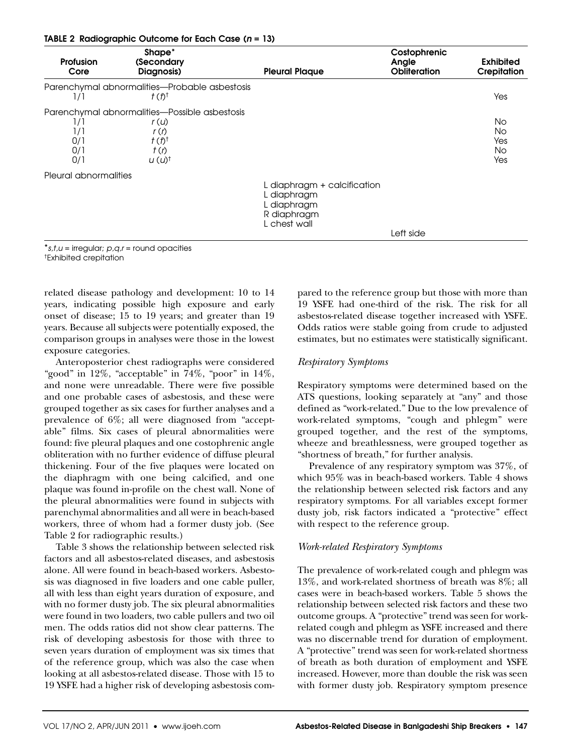| <b>Profusion</b><br>Core        | Shape*<br>(Secondary<br>Diagnosis)                                                                               | <b>Pleural Plaque</b>                                                                    | Costophrenic<br>Angle<br><b>Obliteration</b> | <b>Exhibited</b><br>Crepitation |
|---------------------------------|------------------------------------------------------------------------------------------------------------------|------------------------------------------------------------------------------------------|----------------------------------------------|---------------------------------|
| 1/1                             | Parenchymal abnormalities-Probable asbestosis<br>$f(f)$ <sup>†</sup>                                             |                                                                                          |                                              | Yes                             |
| 1/1<br>1/1<br>0/1<br>0/1<br>0/1 | Parenchymal abnormalities-Possible asbestosis<br>r(u)<br>r(r)<br>$t(t)$ <sup>t</sup><br>t(r)<br>$U(U)^{\dagger}$ |                                                                                          |                                              | No<br>No<br>Yes<br>No<br>Yes    |
| Pleural abnormalities           |                                                                                                                  | L diaphragm + calcification<br>L diaphragm<br>L diaphragm<br>R diaphragm<br>L chest wall | Left side                                    |                                 |

#### **TABLE 2 Radiographic Outcome for Each Case (***n* **= 13)**

\**s,t,u* = irregular; *p,q,r* = round opacities

†Exhibited crepitation

related disease pathology and development: 10 to 14 years, indicating possible high exposure and early onset of disease; 15 to 19 years; and greater than 19 years. Because all subjects were potentially exposed, the comparison groups in analyses were those in the lowest exposure categories.

Anteroposterior chest radiographs were considered "good" in  $12\%$ , "acceptable" in  $74\%$ , "poor" in  $14\%$ , and none were unreadable. There were five possible and one probable cases of asbestosis, and these were grouped together as six cases for further analyses and a prevalence of 6%; all were diagnosed from "acceptable" films. Six cases of pleural abnormalities were found: five pleural plaques and one costophrenic angle obliteration with no further evidence of diffuse pleural thickening. Four of the five plaques were located on the diaphragm with one being calcified, and one plaque was found in-profile on the chest wall. None of the pleural abnormalities were found in subjects with parenchymal abnormalities and all were in beach-based workers, three of whom had a former dusty job. (See Table 2 for radiographic results.)

Table 3 shows the relationship between selected risk factors and all asbestos-related diseases, and asbestosis alone. All were found in beach-based workers. Asbestosis was diagnosed in five loaders and one cable puller, all with less than eight years duration of exposure, and with no former dusty job. The six pleural abnormalities were found in two loaders, two cable pullers and two oil men. The odds ratios did not show clear patterns. The risk of developing asbestosis for those with three to seven years duration of employment was six times that of the reference group, which was also the case when looking at all asbestos-related disease. Those with 15 to 19 YSFE had a higher risk of developing asbestosis compared to the reference group but those with more than 19 YSFE had one-third of the risk. The risk for all asbestos-related disease together increased with YSFE. Odds ratios were stable going from crude to adjusted estimates, but no estimates were statistically significant.

### *Respiratory Symptoms*

Respiratory symptoms were determined based on the ATS questions, looking separately at "any" and those defined as "work-related." Due to the low prevalence of work-related symptoms, "cough and phlegm" were grouped together, and the rest of the symptoms, wheeze and breathlessness, were grouped together as "shortness of breath," for further analysis.

Prevalence of any respiratory symptom was 37%, of which 95% was in beach-based workers. Table 4 shows the relationship between selected risk factors and any respiratory symptoms. For all variables except former dusty job, risk factors indicated a "protective" effect with respect to the reference group.

## *Work-related Respiratory Symptoms*

The prevalence of work-related cough and phlegm was 13%, and work-related shortness of breath was 8%; all cases were in beach-based workers. Table 5 shows the relationship between selected risk factors and these two outcome groups. A "protective" trend was seen for workrelated cough and phlegm as YSFE increased and there was no discernable trend for duration of employment. A "protective" trend was seen for work-related shortness of breath as both duration of employment and YSFE increased. However, more than double the risk was seen with former dusty job. Respiratory symptom presence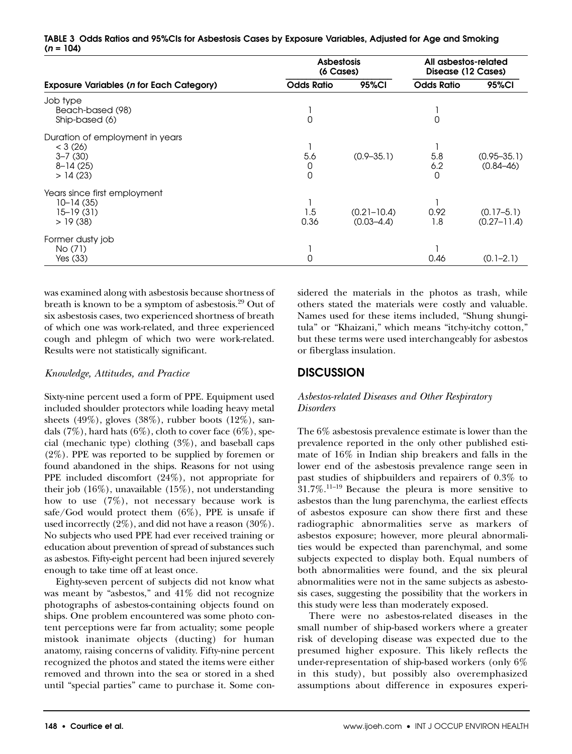|                                                 | <b>Asbestosis</b><br>(6 Cases) | All asbestos-related<br>Disease (12 Cases) |                   |                 |
|-------------------------------------------------|--------------------------------|--------------------------------------------|-------------------|-----------------|
| <b>Exposure Variables (n for Each Category)</b> | <b>Odds Ratio</b>              | 95%CI                                      | <b>Odds Ratio</b> | 95%CI           |
| Job type                                        |                                |                                            |                   |                 |
| Beach-based (98)                                |                                |                                            |                   |                 |
| Ship-based (6)                                  | 0                              |                                            | Ω                 |                 |
| Duration of employment in years                 |                                |                                            |                   |                 |
| $<$ 3 (26)                                      |                                |                                            |                   |                 |
| $3 - 7(30)$                                     | 5.6                            | $(0.9 - 35.1)$                             | 5.8               | $(0.95 - 35.1)$ |
| $8 - 14(25)$                                    | 0                              |                                            | 6.2               | $(0.84 - 46)$   |
| > 14(23)                                        | 0                              |                                            | 0                 |                 |
| Years since first employment                    |                                |                                            |                   |                 |
| $10 - 14(35)$                                   |                                |                                            |                   |                 |
| $15 - 19(31)$                                   | 1.5                            | $(0.21 - 10.4)$                            | 0.92              | $(0.17 - 5.1)$  |
| > 19(38)                                        | 0.36                           | $(0.03 - 4.4)$                             | 1.8               | $(0.27 - 11.4)$ |
| Former dusty job                                |                                |                                            |                   |                 |
| No (71)                                         |                                |                                            |                   |                 |
| Yes (33)                                        | 0                              |                                            | 0.46              | $(0.1 - 2.1)$   |

**TABLE 3 Odds Ratios and 95%CIs for Asbestosis Cases by Exposure Variables, Adjusted for Age and Smoking (***n* **= 104)**

was examined along with asbestosis because shortness of breath is known to be a symptom of asbestosis.29 Out of six asbestosis cases, two experienced shortness of breath of which one was work-related, and three experienced cough and phlegm of which two were work-related. Results were not statistically significant.

#### *Knowledge, Attitudes, and Practice*

Sixty-nine percent used a form of PPE. Equipment used included shoulder protectors while loading heavy metal sheets  $(49\%)$ , gloves  $(38\%)$ , rubber boots  $(12\%)$ , sandals  $(7\%)$ , hard hats  $(6\%)$ , cloth to cover face  $(6\%)$ , special (mechanic type) clothing (3%), and baseball caps (2%). PPE was reported to be supplied by foremen or found abandoned in the ships. Reasons for not using PPE included discomfort (24%), not appropriate for their job (16%), unavailable (15%), not understanding how to use (7%), not necessary because work is safe/God would protect them  $(6\%)$ , PPE is unsafe if used incorrectly (2%), and did not have a reason (30%). No subjects who used PPE had ever received training or education about prevention of spread of substances such as asbestos. Fifty-eight percent had been injured severely enough to take time off at least once.

Eighty-seven percent of subjects did not know what was meant by "asbestos," and 41% did not recognize photographs of asbestos-containing objects found on ships. One problem encountered was some photo content perceptions were far from actuality; some people mistook inanimate objects (ducting) for human anatomy, raising concerns of validity. Fifty-nine percent recognized the photos and stated the items were either removed and thrown into the sea or stored in a shed until "special parties" came to purchase it. Some considered the materials in the photos as trash, while others stated the materials were costly and valuable. Names used for these items included, "Shung shungitula" or "Khaizani," which means "itchy-itchy cotton," but these terms were used interchangeably for asbestos or fiberglass insulation.

# **DISCUSSION**

#### *Asbestos-related Diseases and Other Respiratory Disorders*

The 6% asbestosis prevalence estimate is lower than the prevalence reported in the only other published estimate of 16% in Indian ship breakers and falls in the lower end of the asbestosis prevalence range seen in past studies of shipbuilders and repairers of 0.3% to  $31.7\%$ <sup>11–19</sup> Because the pleura is more sensitive to asbestos than the lung parenchyma, the earliest effects of asbestos exposure can show there first and these radiographic abnormalities serve as markers of asbestos exposure; however, more pleural abnormalities would be expected than parenchymal, and some subjects expected to display both. Equal numbers of both abnormalities were found, and the six pleural abnormalities were not in the same subjects as asbestosis cases, suggesting the possibility that the workers in this study were less than moderately exposed.

There were no asbestos-related diseases in the small number of ship-based workers where a greater risk of developing disease was expected due to the presumed higher exposure. This likely reflects the under-representation of ship-based workers (only 6% in this study), but possibly also overemphasized assumptions about difference in exposures experi-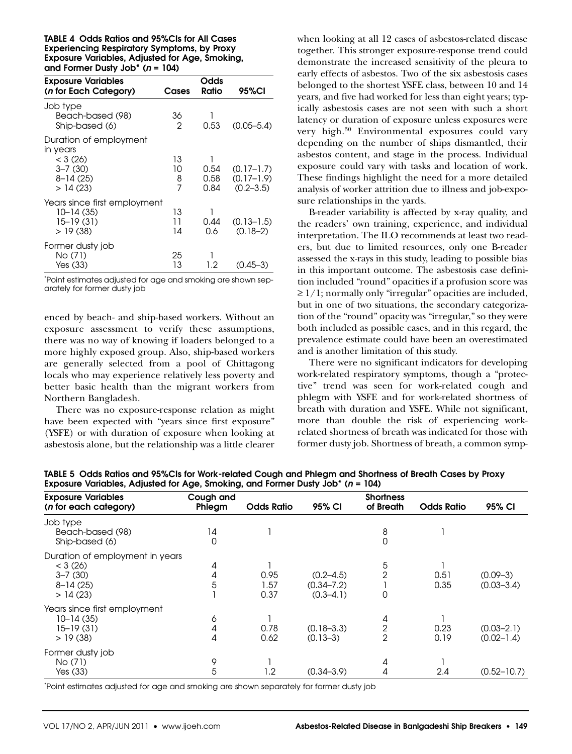| <b>TABLE 4 Odds Ratios and 95%CIs for All Cases</b> |
|-----------------------------------------------------|
| <b>Experiencing Respiratory Symptoms, by Proxy</b>  |
| Exposure Variables, Adjusted for Age, Smoking,      |
| and Former Dusty Job <sup>*</sup> ( $n = 104$ )     |

| <b>Exposure Variables</b><br>(n for Each Category)                                         | Cases              | Odds<br>Ratio        | 95%CI                                             |
|--------------------------------------------------------------------------------------------|--------------------|----------------------|---------------------------------------------------|
| Job type<br>Beach-based (98)<br>Ship-based (6)                                             | 36<br>2            | 0.53                 | $(0.05 - 5.4)$                                    |
| Duration of employment<br>in years<br>$<$ 3 (26)<br>$3 - 7(30)$<br>$8 - 14(25)$<br>>14(23) | 13<br>10<br>8<br>7 | 0.54<br>0.58<br>0.84 | $(0.17 - 1.7)$<br>$(0.17 - 1.9)$<br>$(0.2 - 3.5)$ |
| Years since first employment<br>10–14 (35)<br>15–19 (31)<br>>19(38)                        | 13<br>11<br>14     | 0.44<br>0.6          | $(0.13 - 1.5)$<br>$(0.18-2)$                      |
| Former dusty job<br>No (71)<br>Yes (33)                                                    | 25<br>13           | 1.2                  | $(0.45 - 3)$                                      |

\* Point estimates adjusted for age and smoking are shown separately for former dusty job

enced by beach- and ship-based workers. Without an exposure assessment to verify these assumptions, there was no way of knowing if loaders belonged to a more highly exposed group. Also, ship-based workers are generally selected from a pool of Chittagong locals who may experience relatively less poverty and better basic health than the migrant workers from Northern Bangladesh.

There was no exposure-response relation as might have been expected with "years since first exposure" (YSFE) or with duration of exposure when looking at asbestosis alone, but the relationship was a little clearer

when looking at all 12 cases of asbestos-related disease together. This stronger exposure-response trend could demonstrate the increased sensitivity of the pleura to early effects of asbestos. Two of the six asbestosis cases belonged to the shortest YSFE class, between 10 and 14 years, and five had worked for less than eight years; typically asbestosis cases are not seen with such a short latency or duration of exposure unless exposures were very high.30 Environmental exposures could vary depending on the number of ships dismantled, their asbestos content, and stage in the process. Individual exposure could vary with tasks and location of work. These findings highlight the need for a more detailed analysis of worker attrition due to illness and job-exposure relationships in the yards.

B-reader variability is affected by x-ray quality, and the readers' own training, experience, and individual interpretation. The ILO recommends at least two readers, but due to limited resources, only one B-reader assessed the x-rays in this study, leading to possible bias in this important outcome. The asbestosis case definition included "round" opacities if a profusion score was  $\geq 1/1$ ; normally only "irregular" opacities are included, but in one of two situations, the secondary categorization of the "round" opacity was "irregular," so they were both included as possible cases, and in this regard, the prevalence estimate could have been an overestimated and is another limitation of this study.

There were no significant indicators for developing work-related respiratory symptoms, though a "protective" trend was seen for work-related cough and phlegm with YSFE and for work-related shortness of breath with duration and YSFE. While not significant, more than double the risk of experiencing workrelated shortness of breath was indicated for those with former dusty job. Shortness of breath, a common symp-

| <b>Exposure Variables</b><br>( <i>n</i> for each category) | Cough and<br>Phlegm | <b>Odds Ratio</b> | 95% CI         | <b>Shortness</b><br>of Breath | <b>Odds Ratio</b> | 95% CI          |
|------------------------------------------------------------|---------------------|-------------------|----------------|-------------------------------|-------------------|-----------------|
| Job type                                                   |                     |                   |                |                               |                   |                 |
| Beach-based (98)                                           | 14                  |                   |                | 8                             |                   |                 |
| Ship-based (6)                                             | 0                   |                   |                | 0                             |                   |                 |
| Duration of employment in years                            |                     |                   |                |                               |                   |                 |
| $<$ 3 (26)                                                 | 4                   |                   |                | 5                             |                   |                 |
| $3 - 7(30)$                                                | 4                   | 0.95              | $(0.2 - 4.5)$  | $\overline{2}$                | 0.51              | $(0.09-3)$      |
| $8 - 14(25)$                                               | 5                   | 1.57              | $(0.34 - 7.2)$ |                               | 0.35              | $(0.03 - 3.4)$  |
| > 14(23)                                                   |                     | 0.37              | $(0.3 - 4.1)$  | 0                             |                   |                 |
| Years since first employment                               |                     |                   |                |                               |                   |                 |
| $10 - 14(35)$                                              | 6                   |                   |                | 4                             |                   |                 |
| $15 - 19(31)$                                              | 4                   | 0.78              | $(0.18 - 3.3)$ | $\overline{2}$                | 0.23              | $(0.03 - 2.1)$  |
| > 19(38)                                                   | 4                   | 0.62              | $(0.13-3)$     | $\mathbf{2}$                  | 0.19              | $(0.02 - 1.4)$  |
| Former dusty job                                           |                     |                   |                |                               |                   |                 |
| No (71)                                                    | 9                   |                   |                | 4                             |                   |                 |
| Yes (33)                                                   | 5                   | 1.2               | $(0.34 - 3.9)$ | 4                             | 2.4               | $(0.52 - 10.7)$ |

**TABLE 5 Odds Ratios and 95%CIs for Work-related Cough and Phlegm and Shortness of Breath Cases by Proxy Exposure Variables, Adjusted for Age, Smoking, and Former Dusty Job\* (***n* **= 104)**

\* Point estimates adjusted for age and smoking are shown separately for former dusty job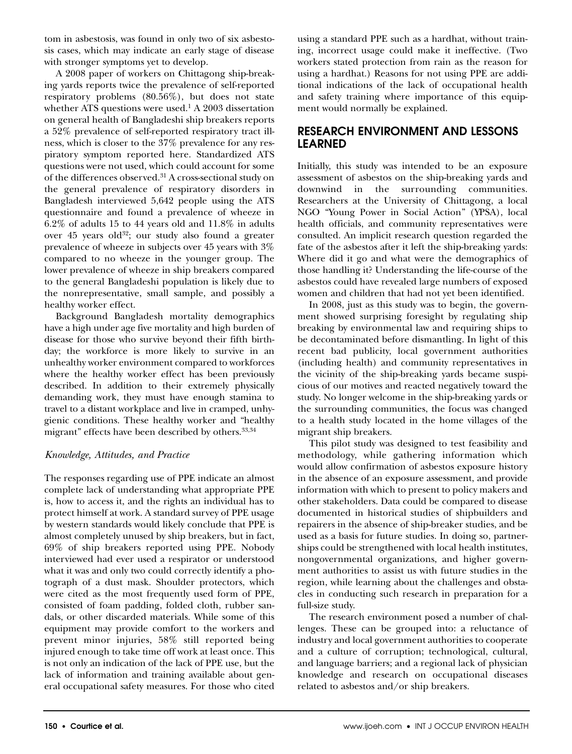tom in asbestosis, was found in only two of six asbestosis cases, which may indicate an early stage of disease with stronger symptoms yet to develop.

A 2008 paper of workers on Chittagong ship-breaking yards reports twice the prevalence of self-reported respiratory problems (80.56%), but does not state whether ATS questions were used.<sup>1</sup> A 2003 dissertation on general health of Bangladeshi ship breakers reports a 52% prevalence of self-reported respiratory tract illness, which is closer to the 37% prevalence for any respiratory symptom reported here. Standardized ATS questions were not used, which could account for some of the differences observed.<sup>31</sup> A cross-sectional study on the general prevalence of respiratory disorders in Bangladesh interviewed 5,642 people using the ATS questionnaire and found a prevalence of wheeze in 6.2% of adults 15 to 44 years old and 11.8% in adults over  $45$  years old<sup>32</sup>; our study also found a greater prevalence of wheeze in subjects over 45 years with 3% compared to no wheeze in the younger group. The lower prevalence of wheeze in ship breakers compared to the general Bangladeshi population is likely due to the nonrepresentative, small sample, and possibly a healthy worker effect.

Background Bangladesh mortality demographics have a high under age five mortality and high burden of disease for those who survive beyond their fifth birthday; the workforce is more likely to survive in an unhealthy worker environment compared to workforces where the healthy worker effect has been previously described. In addition to their extremely physically demanding work, they must have enough stamina to travel to a distant workplace and live in cramped, unhygienic conditions. These healthy worker and "healthy migrant" effects have been described by others.<sup>33,34</sup>

#### *Knowledge, Attitudes, and Practice*

The responses regarding use of PPE indicate an almost complete lack of understanding what appropriate PPE is, how to access it, and the rights an individual has to protect himself at work. A standard survey of PPE usage by western standards would likely conclude that PPE is almost completely unused by ship breakers, but in fact, 69% of ship breakers reported using PPE. Nobody interviewed had ever used a respirator or understood what it was and only two could correctly identify a photograph of a dust mask. Shoulder protectors, which were cited as the most frequently used form of PPE, consisted of foam padding, folded cloth, rubber sandals, or other discarded materials. While some of this equipment may provide comfort to the workers and prevent minor injuries, 58% still reported being injured enough to take time off work at least once. This is not only an indication of the lack of PPE use, but the lack of information and training available about general occupational safety measures. For those who cited

using a standard PPE such as a hardhat, without training, incorrect usage could make it ineffective. (Two workers stated protection from rain as the reason for using a hardhat.) Reasons for not using PPE are additional indications of the lack of occupational health and safety training where importance of this equipment would normally be explained.

# **RESEARCH ENVIRONMENT AND LESSONS LEARNED**

Initially, this study was intended to be an exposure assessment of asbestos on the ship-breaking yards and downwind in the surrounding communities. Researchers at the University of Chittagong, a local NGO "Young Power in Social Action" (YPSA), local health officials, and community representatives were consulted. An implicit research question regarded the fate of the asbestos after it left the ship-breaking yards: Where did it go and what were the demographics of those handling it? Understanding the life-course of the asbestos could have revealed large numbers of exposed women and children that had not yet been identified.

In 2008, just as this study was to begin, the government showed surprising foresight by regulating ship breaking by environmental law and requiring ships to be decontaminated before dismantling. In light of this recent bad publicity, local government authorities (including health) and community representatives in the vicinity of the ship-breaking yards became suspicious of our motives and reacted negatively toward the study. No longer welcome in the ship-breaking yards or the surrounding communities, the focus was changed to a health study located in the home villages of the migrant ship breakers.

This pilot study was designed to test feasibility and methodology, while gathering information which would allow confirmation of asbestos exposure history in the absence of an exposure assessment, and provide information with which to present to policy makers and other stakeholders. Data could be compared to disease documented in historical studies of shipbuilders and repairers in the absence of ship-breaker studies, and be used as a basis for future studies. In doing so, partnerships could be strengthened with local health institutes, nongovernmental organizations, and higher government authorities to assist us with future studies in the region, while learning about the challenges and obstacles in conducting such research in preparation for a full-size study.

The research environment posed a number of challenges. These can be grouped into: a reluctance of industry and local government authorities to cooperate and a culture of corruption; technological, cultural, and language barriers; and a regional lack of physician knowledge and research on occupational diseases related to asbestos and/or ship breakers.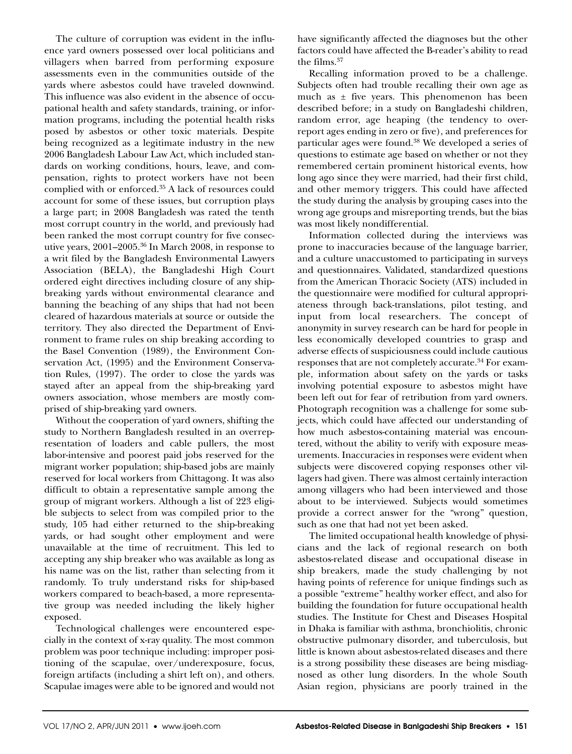The culture of corruption was evident in the influence yard owners possessed over local politicians and villagers when barred from performing exposure assessments even in the communities outside of the yards where asbestos could have traveled downwind. This influence was also evident in the absence of occupational health and safety standards, training, or information programs, including the potential health risks posed by asbestos or other toxic materials. Despite being recognized as a legitimate industry in the new 2006 Bangladesh Labour Law Act, which included standards on working conditions, hours, leave, and compensation, rights to protect workers have not been complied with or enforced.35 A lack of resources could account for some of these issues, but corruption plays a large part; in 2008 Bangladesh was rated the tenth most corrupt country in the world, and previously had been ranked the most corrupt country for five consecutive years, 2001–2005.36 In March 2008, in response to a writ filed by the Bangladesh Environmental Lawyers Association (BELA), the Bangladeshi High Court ordered eight directives including closure of any shipbreaking yards without environmental clearance and banning the beaching of any ships that had not been cleared of hazardous materials at source or outside the territory. They also directed the Department of Environment to frame rules on ship breaking according to the Basel Convention (1989), the Environment Conservation Act, (1995) and the Environment Conservation Rules, (1997). The order to close the yards was stayed after an appeal from the ship-breaking yard owners association, whose members are mostly comprised of ship-breaking yard owners.

Without the cooperation of yard owners, shifting the study to Northern Bangladesh resulted in an overrepresentation of loaders and cable pullers, the most labor-intensive and poorest paid jobs reserved for the migrant worker population; ship-based jobs are mainly reserved for local workers from Chittagong. It was also difficult to obtain a representative sample among the group of migrant workers. Although a list of 223 eligible subjects to select from was compiled prior to the study, 105 had either returned to the ship-breaking yards, or had sought other employment and were unavailable at the time of recruitment. This led to accepting any ship breaker who was available as long as his name was on the list, rather than selecting from it randomly. To truly understand risks for ship-based workers compared to beach-based, a more representative group was needed including the likely higher exposed.

Technological challenges were encountered especially in the context of x-ray quality. The most common problem was poor technique including: improper positioning of the scapulae, over/underexposure, focus, foreign artifacts (including a shirt left on), and others. Scapulae images were able to be ignored and would not have significantly affected the diagnoses but the other factors could have affected the B-reader's ability to read the films.37

Recalling information proved to be a challenge. Subjects often had trouble recalling their own age as much as  $\pm$  five years. This phenomenon has been described before; in a study on Bangladeshi children, random error, age heaping (the tendency to overreport ages ending in zero or five), and preferences for particular ages were found.38 We developed a series of questions to estimate age based on whether or not they remembered certain prominent historical events, how long ago since they were married, had their first child, and other memory triggers. This could have affected the study during the analysis by grouping cases into the wrong age groups and misreporting trends, but the bias was most likely nondifferential.

Information collected during the interviews was prone to inaccuracies because of the language barrier, and a culture unaccustomed to participating in surveys and questionnaires. Validated, standardized questions from the American Thoracic Society (ATS) included in the questionnaire were modified for cultural appropriateness through back-translations, pilot testing, and input from local researchers. The concept of anonymity in survey research can be hard for people in less economically developed countries to grasp and adverse effects of suspiciousness could include cautious responses that are not completely accurate.<sup>34</sup> For example, information about safety on the yards or tasks involving potential exposure to asbestos might have been left out for fear of retribution from yard owners. Photograph recognition was a challenge for some subjects, which could have affected our understanding of how much asbestos-containing material was encountered, without the ability to verify with exposure measurements. Inaccuracies in responses were evident when subjects were discovered copying responses other villagers had given. There was almost certainly interaction among villagers who had been interviewed and those about to be interviewed. Subjects would sometimes provide a correct answer for the "wrong" question, such as one that had not yet been asked.

The limited occupational health knowledge of physicians and the lack of regional research on both asbestos-related disease and occupational disease in ship breakers, made the study challenging by not having points of reference for unique findings such as a possible "extreme" healthy worker effect, and also for building the foundation for future occupational health studies. The Institute for Chest and Diseases Hospital in Dhaka is familiar with asthma, bronchiolitis, chronic obstructive pulmonary disorder, and tuberculosis, but little is known about asbestos-related diseases and there is a strong possibility these diseases are being misdiagnosed as other lung disorders. In the whole South Asian region, physicians are poorly trained in the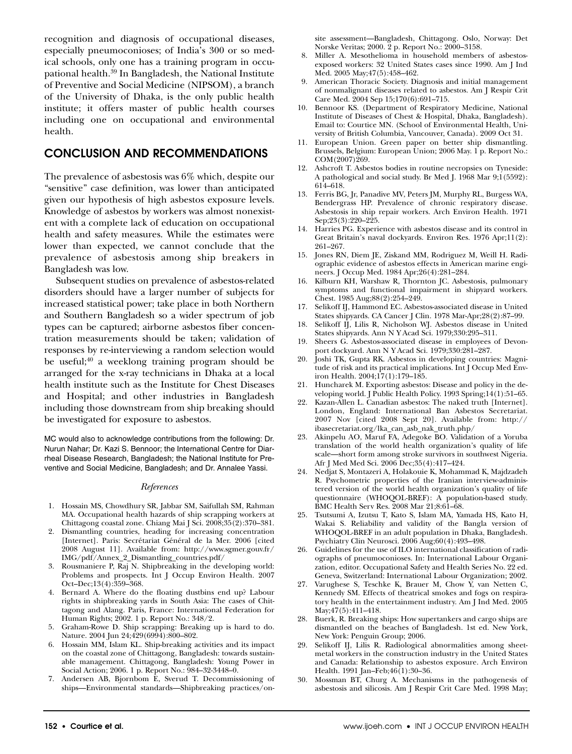recognition and diagnosis of occupational diseases, especially pneumoconioses; of India's 300 or so medical schools, only one has a training program in occupational health.39 In Bangladesh, the National Institute of Preventive and Social Medicine (NIPSOM), a branch of the University of Dhaka, is the only public health institute; it offers master of public health courses including one on occupational and environmental health.

## **CONCLUSION AND RECOMMENDATIONS**

The prevalence of asbestosis was 6% which, despite our "sensitive" case definition, was lower than anticipated given our hypothesis of high asbestos exposure levels. Knowledge of asbestos by workers was almost nonexistent with a complete lack of education on occupational health and safety measures. While the estimates were lower than expected, we cannot conclude that the prevalence of asbestosis among ship breakers in Bangladesh was low.

Subsequent studies on prevalence of asbestos-related disorders should have a larger number of subjects for increased statistical power; take place in both Northern and Southern Bangladesh so a wider spectrum of job types can be captured; airborne asbestos fiber concentration measurements should be taken; validation of responses by re-interviewing a random selection would be useful; $40$  a weeklong training program should be arranged for the x-ray technicians in Dhaka at a local health institute such as the Institute for Chest Diseases and Hospital; and other industries in Bangladesh including those downstream from ship breaking should be investigated for exposure to asbestos.

MC would also to acknowledge contributions from the following: Dr. Nurun Nahar; Dr. Kazi S. Bennoor; the International Centre for Diarrheal Disease Research, Bangladesh; the National Institute for Preventive and Social Medicine, Bangladesh; and Dr. Annalee Yassi.

#### *References*

- 1. Hossain MS, Chowdhury SR, Jabbar SM, Saifullah SM, Rahman MA. Occupational health hazards of ship scrapping workers at Chittagong coastal zone. Chiang Mai J Sci. 2008;35(2):370–381.
- 2. Dismantling countries, heading for increasing concentration [Internet]. Paris: Secrétariat Général de la Mer. 2006 [cited 2008 August 11]. Available from: http://www.sgmer.gouv.fr/ IMG/pdf/Annex\_2\_Dismantling\_countries.pdf/
- 3. Rousmaniere P, Raj N. Shipbreaking in the developing world: Problems and prospects. Int J Occup Environ Health. 2007 Oct–Dec;13(4):359–368.
- 4. Bernard A. Where do the floating dustbins end up? Labour rights in shipbreaking yards in South Asia: The cases of Chittagong and Alang. Paris, France: International Federation for Human Rights; 2002. 1 p. Report No.: 348/2.
- 5. Graham-Rowe D. Ship scrapping: Breaking up is hard to do. Nature. 2004 Jun 24;429(6994):800-802.
- 6. Hossain MM, Islam KL. Ship-breaking activities and its impact on the coastal zone of Chittagong, Bangladesh: towards sustainable management. Chittagong, Bangladesh: Young Power in Social Action; 2006. 1 p. Report No.: 984–32-3448–0.
- 7. Andersen AB, Bjornbom E, Sverud T. Decommissioning of ships—Environmental standards—Shipbreaking practices/on-

site assessment—Bangladesh, Chittagong. Oslo, Norway: Det Norske Veritas; 2000. 2 p. Report No.: 2000–3158.

- 8. Miller A. Mesothelioma in household members of asbestosexposed workers: 32 United States cases since 1990. Am J Ind Med. 2005 May;47(5):458–462.
- 9. American Thoracic Society. Diagnosis and initial management of nonmalignant diseases related to asbestos. Am J Respir Crit Care Med. 2004 Sep 15;170(6):691–715.
- 10. Bennoor KS. (Department of Respiratory Medicine, National Institute of Diseases of Chest & Hospital, Dhaka, Bangladesh). Email to: Courtice MN. (School of Environmental Health, University of British Columbia, Vancouver, Canada). 2009 Oct 31.
- 11. European Union. Green paper on better ship dismantling. Brussels, Belgium: European Union; 2006 May. 1 p. Report No.: COM(2007)269.
- 12. Ashcroft T. Asbestos bodies in routine necropsies on Tyneside: A pathological and social study. Br Med J. 1968 Mar 9;1(5592): 614–618.
- 13. Ferris BG, Jr, Panadive MV, Peters JM, Murphy RL, Burgess WA, Bendergrass HP. Prevalence of chronic respiratory disease. Asbestosis in ship repair workers. Arch Environ Health. 1971 Sep;23(3):220–225.
- 14. Harries PG. Experience with asbestos disease and its control in Great Britain's naval dockyards. Environ Res. 1976 Apr;11(2): 261–267.
- 15. Jones RN, Diem JE, Ziskand MM, Rodriguez M, Weill H. Radiographic evidence of asbestos effects in American marine engineers. J Occup Med. 1984 Apr;26(4):281–284.
- 16. Kilburn KH, Warshaw R, Thornton JC. Asbestosis, pulmonary symptoms and functional impairment in shipyard workers. Chest. 1985 Aug;88(2):254–249.
- 17. Selikoff IJ, Hammond EC. Asbestos-associated disease in United States shipyards. CA Cancer J Clin. 1978 Mar-Apr;28(2):87–99.
- 18. Selikoff IJ, Lilis R, Nicholson WJ. Asbestos disease in United States shipyards. Ann N Y Acad Sci. 1979;330:295–311.
- Sheers G. Asbestos-associated disease in employees of Devonport dockyard. Ann N Y Acad Sci. 1979;330:281–287.
- 20. Joshi TK, Gupta RK. Asbestos in developing countries: Magnitude of risk and its practical implications. Int J Occup Med Environ Health. 2004;17(1):179–185.
- 21. Huncharek M. Exporting asbestos: Disease and policy in the developing world. J Public Health Policy. 1993 Spring;14(1):51–65.
- Kazan-Allen L. Canadian asbestos: The naked truth [Internet]. London, England: International Ban Asbestos Secretariat. 2007 Nov [cited 2008 Sept 20]. Available from: http:// ibasecretariat.org/lka\_can\_asb\_nak\_truth.php/
- 23. Akinpelu AO, Maruf FA, Adegoke BO. Validation of a Yoruba translation of the world health organization's quality of life scale—short form among stroke survivors in southwest Nigeria. Afr J Med Med Sci. 2006 Dec;35(4):417–424.
- 24. Nedjat S, Montazeri A, Holakouie K, Mohammad K, Majdzadeh R. Psychometric properties of the Iranian interview-administered version of the world health organization's quality of life questionnaire (WHOQOL-BREF): A population-based study. BMC Health Serv Res. 2008 Mar 21;8:61–68.
- 25. Tsutsumi A, Izutsu T, Kato S, Islam MA, Yamada HS, Kato H, Wakai S. Reliability and validity of the Bangla version of WHOQOL-BREF in an adult population in Dhaka, Bangladesh. Psychiatry Clin Neurosci. 2006 Aug;60(4):493–498.
- 26. Guidelines for the use of ILO international classification of radiographs of pneumoconioses. In: International Labour Organization, editor. Occupational Safety and Health Series No. 22 ed. Geneva, Switzerland: International Labour Organization; 2002.
- 27. Varughese S, Teschke K, Brauer M, Chow Y, van Netten C, Kennedy SM. Effects of theatrical smokes and fogs on respiratory health in the entertainment industry. Am J Ind Med. 2005 May; 47(5): 411-418.
- 28. Buerk, R. Breaking ships: How supertankers and cargo ships are dismantled on the beaches of Bangladesh. 1st ed. New York, New York: Penguin Group; 2006.
- 29. Selikoff IJ, Lilis R. Radiological abnormalities among sheetmetal workers in the construction industry in the United States and Canada: Relationship to asbestos exposure. Arch Environ Health. 1991 Jan–Feb;46(1):30–36.
- 30. Mossman BT, Churg A. Mechanisms in the pathogenesis of asbestosis and silicosis. Am J Respir Crit Care Med. 1998 May;